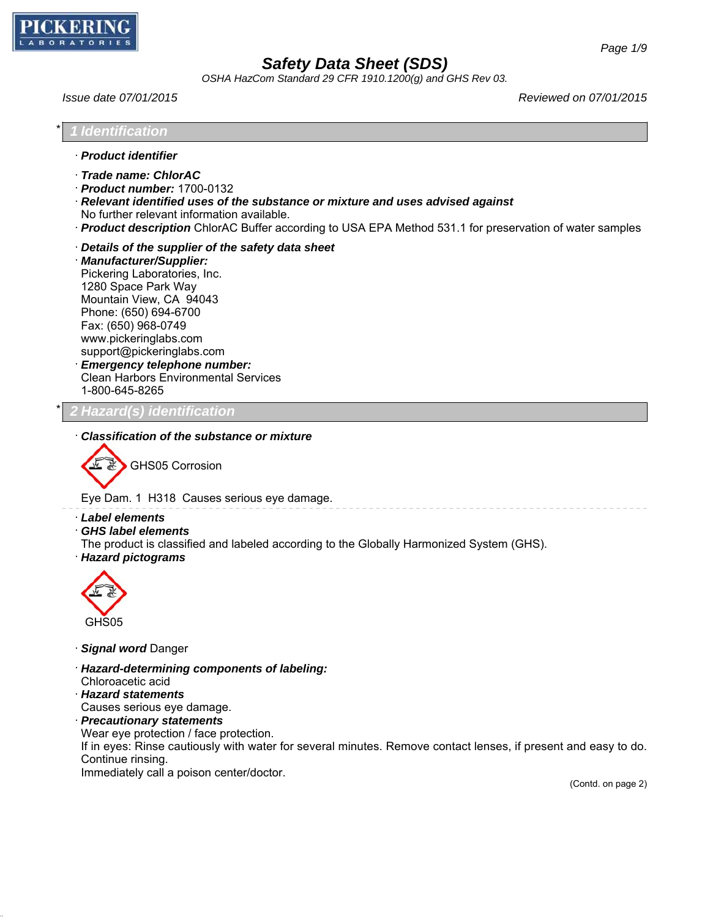

*OSHA HazCom Standard 29 CFR 1910.1200(g) and GHS Rev 03.*

*Issue date 07/01/2015 Reviewed on 07/01/2015*

| 1 Identification                                                                                                                                                                                                                                                                                                                                                            |  |
|-----------------------------------------------------------------------------------------------------------------------------------------------------------------------------------------------------------------------------------------------------------------------------------------------------------------------------------------------------------------------------|--|
| · Product identifier                                                                                                                                                                                                                                                                                                                                                        |  |
| · Trade name: ChlorAC<br>$\cdot$ Product number: 1700-0132<br>$\cdot$ Relevant identified uses of the substance or mixture and uses advised against<br>No further relevant information available.<br>Product description ChlorAC Buffer according to USA EPA Method 531.1 for preservation of water samples                                                                 |  |
| Details of the supplier of the safety data sheet<br>· Manufacturer/Supplier:<br>Pickering Laboratories, Inc.<br>1280 Space Park Way<br>Mountain View, CA 94043<br>Phone: (650) 694-6700<br>Fax: (650) 968-0749<br>www.pickeringlabs.com<br>support@pickeringlabs.com<br><b>Emergency telephone number:</b><br><b>Clean Harbors Environmental Services</b><br>1-800-645-8265 |  |

\* *2 Hazard(s) identification*

· *Classification of the substance or mixture*



Eye Dam. 1 H318 Causes serious eye damage.

- · *Label elements*
- · *GHS label elements*

The product is classified and labeled according to the Globally Harmonized System (GHS).

· *Hazard pictograms*



- · *Signal word* Danger
- · *Hazard-determining components of labeling:*
- Chloroacetic acid
- · *Hazard statements*
- Causes serious eye damage.
- · *Precautionary statements*
- Wear eye protection / face protection.

If in eyes: Rinse cautiously with water for several minutes. Remove contact lenses, if present and easy to do. Continue rinsing.

Immediately call a poison center/doctor.

(Contd. on page 2)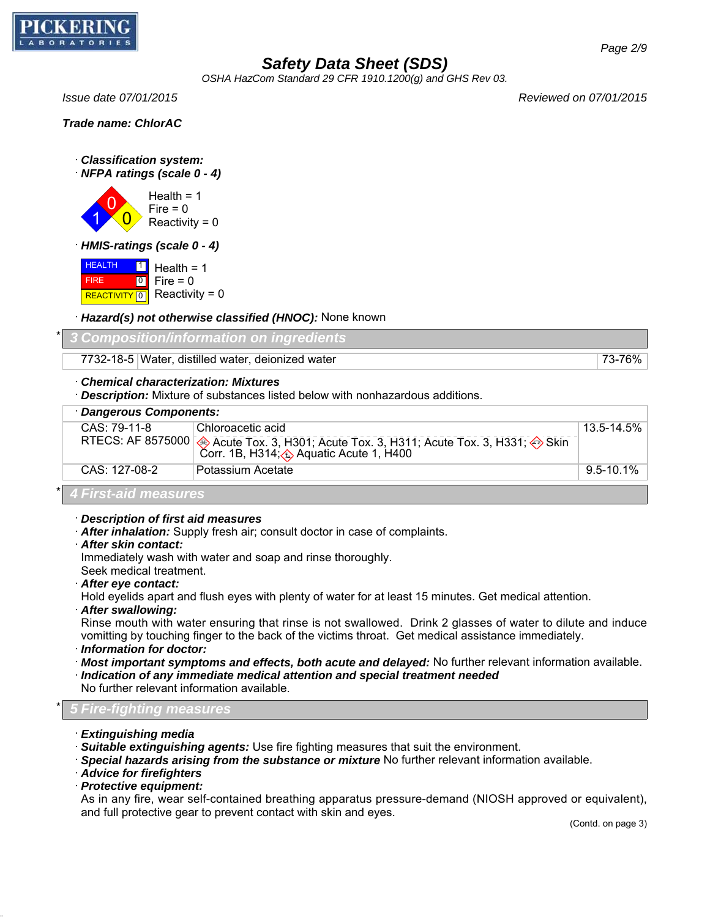

*OSHA HazCom Standard 29 CFR 1910.1200(g) and GHS Rev 03.*

*Issue date 07/01/2015 Reviewed on 07/01/2015*

*Trade name: ChlorAC*

- · *Classification system:*
- · *NFPA ratings (scale 0 4)*

1 0  $\overline{0}$ Health  $= 1$  $Fire = 0$  $Reactivity = 0$ 

· *HMIS-ratings (scale 0 - 4)*

**HEALTH**  FIRE REACTIVITY  $\boxed{0}$  Reactivity = 0  $\boxed{1}$  $\boxed{0}$ Health  $= 1$  $Fire = 0$ 

· *Hazard(s) not otherwise classified (HNOC):* None known

\* *3 Composition/information on ingredients*

7732-18-5 Water, distilled water, deionized water 73-76% and 73-76%

### · *Chemical characterization: Mixtures*

· *Description:* Mixture of substances listed below with nonhazardous additions.

| · Dangerous Components: |                                                                                                                                                                 |                 |  |
|-------------------------|-----------------------------------------------------------------------------------------------------------------------------------------------------------------|-----------------|--|
| $CAS: 79-11-8$          | l Chloroacetic acid                                                                                                                                             | $13.5 - 14.5\%$ |  |
|                         | RTECS: AF 8575000 Acute Tox. 3, H301; Acute Tox. 3, H311; Acute Tox. 3, H331; $\leftrightarrow$ Skin<br>Corr. 1B, H314; $\leftrightarrow$ Aquatic Acute 1, H400 |                 |  |
| $CAS: 127-08-2$         | <sup>1</sup> Potassium Acetate                                                                                                                                  | $9.5 - 10.1\%$  |  |
|                         |                                                                                                                                                                 |                 |  |

### \* *4 First-aid measures*

· *Description of first aid measures*

· *After inhalation:* Supply fresh air; consult doctor in case of complaints.

· *After skin contact:*

Immediately wash with water and soap and rinse thoroughly.

- Seek medical treatment.
- · *After eye contact:*

Hold eyelids apart and flush eyes with plenty of water for at least 15 minutes. Get medical attention.

· *After swallowing:*

Rinse mouth with water ensuring that rinse is not swallowed. Drink 2 glasses of water to dilute and induce vomitting by touching finger to the back of the victims throat. Get medical assistance immediately.

- · *Information for doctor:*
- · *Most important symptoms and effects, both acute and delayed:* No further relevant information available.
- · *Indication of any immediate medical attention and special treatment needed*
- No further relevant information available.

## \* *5 Fire-fighting measures*

- · *Extinguishing media*
- · *Suitable extinguishing agents:* Use fire fighting measures that suit the environment.
- · *Special hazards arising from the substance or mixture* No further relevant information available.
- · *Advice for firefighters*
- · *Protective equipment:*

As in any fire, wear self-contained breathing apparatus pressure-demand (NIOSH approved or equivalent), and full protective gear to prevent contact with skin and eyes.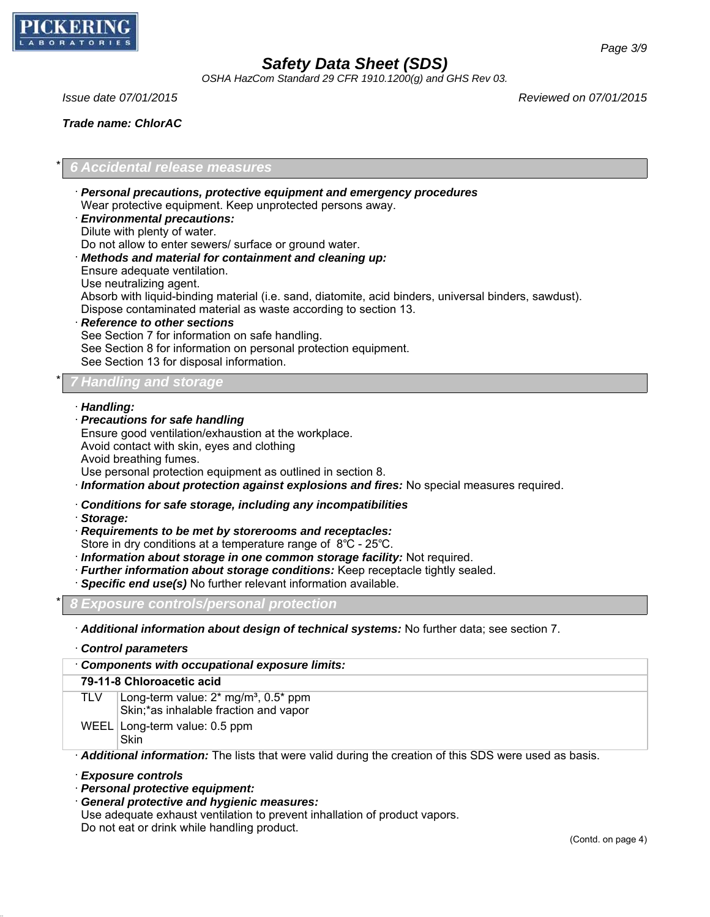

*OSHA HazCom Standard 29 CFR 1910.1200(g) and GHS Rev 03.*

*Trade name: ChlorAC*

*Issue date 07/01/2015 Reviewed on 07/01/2015*

## \* *6 Accidental release measures*

- · *Personal precautions, protective equipment and emergency procedures* Wear protective equipment. Keep unprotected persons away. · *Environmental precautions:* Dilute with plenty of water.
- Do not allow to enter sewers/ surface or ground water.
- · *Methods and material for containment and cleaning up:*
- Ensure adequate ventilation.
- Use neutralizing agent.
- Absorb with liquid-binding material (i.e. sand, diatomite, acid binders, universal binders, sawdust).
- Dispose contaminated material as waste according to section 13.
- · *Reference to other sections* See Section 7 for information on safe handling. See Section 8 for information on personal protection equipment. See Section 13 for disposal information.

## \* *7 Handling and storage*

- · *Handling:*
- · *Precautions for safe handling*

Ensure good ventilation/exhaustion at the workplace. Avoid contact with skin, eyes and clothing Avoid breathing fumes.

Use personal protection equipment as outlined in section 8.

- · *Information about protection against explosions and fires:* No special measures required.
- · *Conditions for safe storage, including any incompatibilities*
- · *Storage:*
- · *Requirements to be met by storerooms and receptacles:*
- Store in dry conditions at a temperature range of 8℃ 25℃.
- · *Information about storage in one common storage facility:* Not required.
- · *Further information about storage conditions:* Keep receptacle tightly sealed.
- · *Specific end use(s)* No further relevant information available.

\* *8 Exposure controls/personal protection*

· *Additional information about design of technical systems:* No further data; see section 7.

· *Control parameters* · *Components with occupational exposure limits:* **79-11-8 Chloroacetic acid** TLV  $\vert$  Long-term value: 2\* mg/m<sup>3</sup>, 0.5\* ppm Skin;\*as inhalable fraction and vapor WEEL Long-term value: 0.5 ppm **Skin** · *Additional information:* The lists that were valid during the creation of this SDS were used as basis.

· *Exposure controls*

- · *Personal protective equipment:*
- · *General protective and hygienic measures:*

Use adequate exhaust ventilation to prevent inhallation of product vapors.

Do not eat or drink while handling product.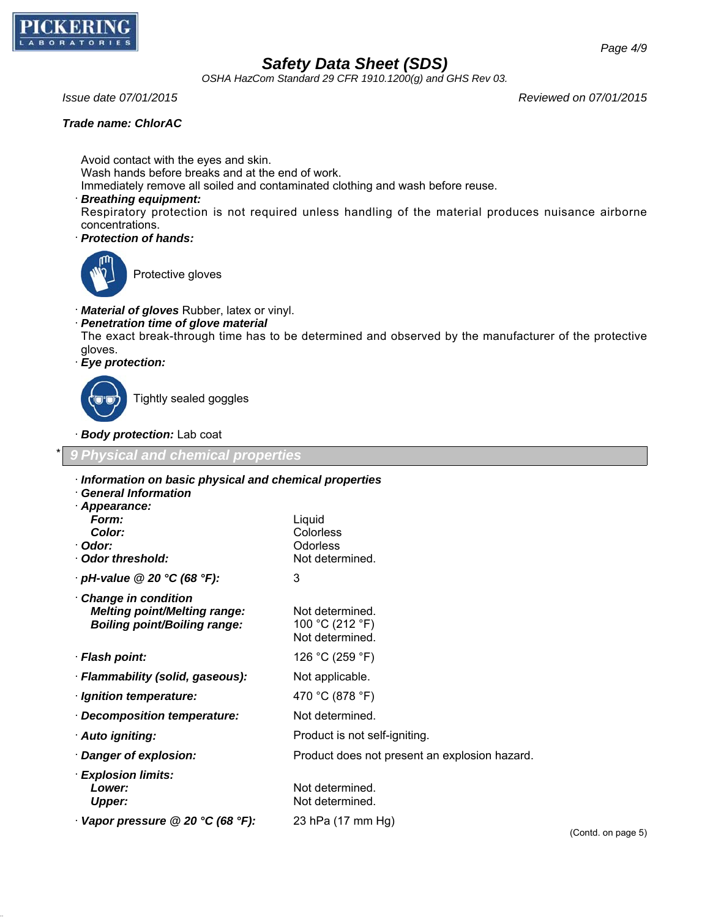

*OSHA HazCom Standard 29 CFR 1910.1200(g) and GHS Rev 03.*

#### *Trade name: ChlorAC*

*Issue date 07/01/2015 Reviewed on 07/01/2015*

Avoid contact with the eyes and skin. Wash hands before breaks and at the end of work. Immediately remove all soiled and contaminated clothing and wash before reuse.

#### · *Breathing equipment:*

Respiratory protection is not required unless handling of the material produces nuisance airborne concentrations.

· *Protection of hands:*



Protective gloves

- · *Material of gloves* Rubber, latex or vinyl.
- · *Penetration time of glove material*

The exact break-through time has to be determined and observed by the manufacturer of the protective gloves.

· *Eye protection:*



Tightly sealed goggles

· *Body protection:* Lab coat

\* *9 Physical and chemical properties* · *Information on basic physical and chemical properties* · *General Information* · *Appearance: Form:* Liquid *Color:* Colorless · *Odor:* Odorless

Not determined.

- · **Odor threshold:** Not determined.
- · *pH-value @ 20 °C (68 °F):* 3
- · *Change in condition Melting point/Melting range:* Not determined. *Boiling point/Boiling range:* 100 °C (212 °F)
- · *Flash point:* 126 °C (259 °F)
- · *Flammability (solid, gaseous):* Not applicable.
- · *Ignition temperature:* 470 °C (878 °F)
- · *Decomposition temperature:* Not determined.
- · **Auto igniting: Product is not self-igniting.**
- · *Danger of explosion:* Product does not present an explosion hazard.
- · *Explosion limits:* **Lower:** Not determined. **Upper:** Not determined.
- · *Vapor pressure @ 20 °C (68 °F):* 23 hPa (17 mm Hg)

(Contd. on page 5)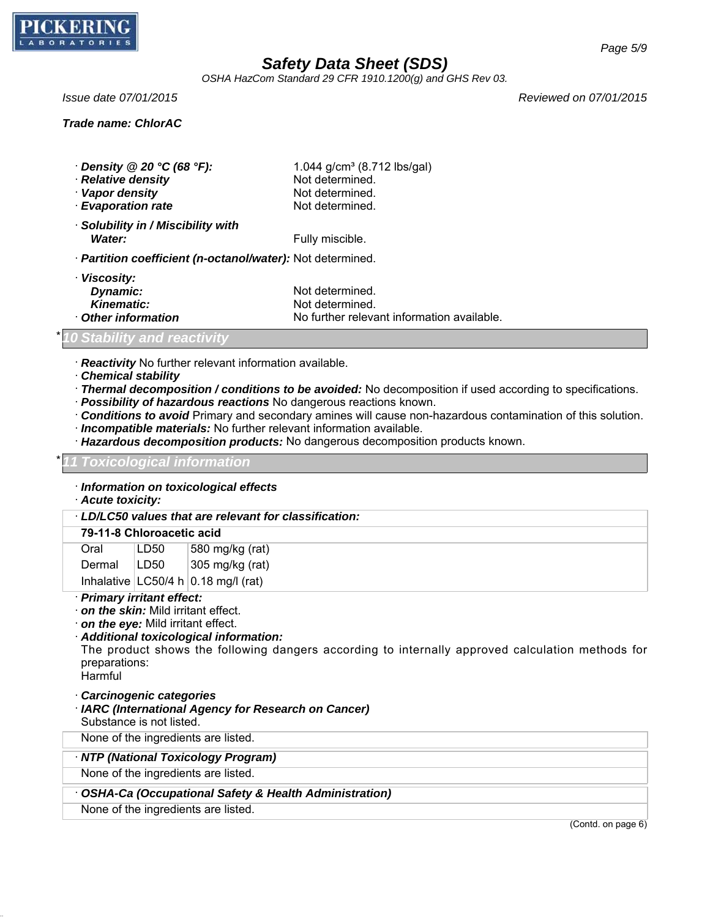

*OSHA HazCom Standard 29 CFR 1910.1200(g) and GHS Rev 03.*

### *Trade name: ChlorAC*

*Issue date 07/01/2015 Reviewed on 07/01/2015*

| $\cdot$ Density @ 20 °C (68 °F): | 1.044 $g/cm^3$ (8.712 lbs/gal) |
|----------------------------------|--------------------------------|
| · Relative density               | Not determined.                |
| · Vapor density                  | Not determined.                |
| <b>Evaporation rate</b>          | Not determined.                |

- · *Solubility in / Miscibility with Water:* Fully miscible.
- · *Partition coefficient (n-octanol/water):* Not determined.

| · Viscosity:               |                                            |
|----------------------------|--------------------------------------------|
| <b>Dynamic:</b>            | Not determined.                            |
| <b>Kinematic:</b>          | Not determined.                            |
| <b>↑ Other information</b> | No further relevant information available. |

### *Stability and reactivity*

· *Reactivity* No further relevant information available.

- · *Chemical stability*
- · *Thermal decomposition / conditions to be avoided:* No decomposition if used according to specifications.
- · *Possibility of hazardous reactions* No dangerous reactions known.
- · *Conditions to avoid* Primary and secondary amines will cause non-hazardous contamination of this solution.
- · *Incompatible materials:* No further relevant information available.
- · *Hazardous decomposition products:* No dangerous decomposition products known.

#### \* *11 Toxicological information*

### · *Information on toxicological effects*

· *Acute toxicity:*

· *LD/LC50 values that are relevant for classification:*

## **79-11-8 Chloroacetic acid**

| Oral   | LD50 | 580 mg/kg (rat)                        |
|--------|------|----------------------------------------|
| Dermal | LD50 | 305 mg/kg (rat)                        |
|        |      | Inhalative $ LC50/4 h 0.18$ mg/l (rat) |

- · *Primary irritant effect:*
- · *on the skin:* Mild irritant effect.
- · *on the eye:* Mild irritant effect.
- · *Additional toxicological information:*

The product shows the following dangers according to internally approved calculation methods for preparations:

Harmful

- · *Carcinogenic categories*
- · *IARC (International Agency for Research on Cancer)* Substance is not listed.

None of the ingredients are listed.

· *NTP (National Toxicology Program)*

None of the ingredients are listed.

### · *OSHA-Ca (Occupational Safety & Health Administration)*

None of the ingredients are listed.

(Contd. on page 6)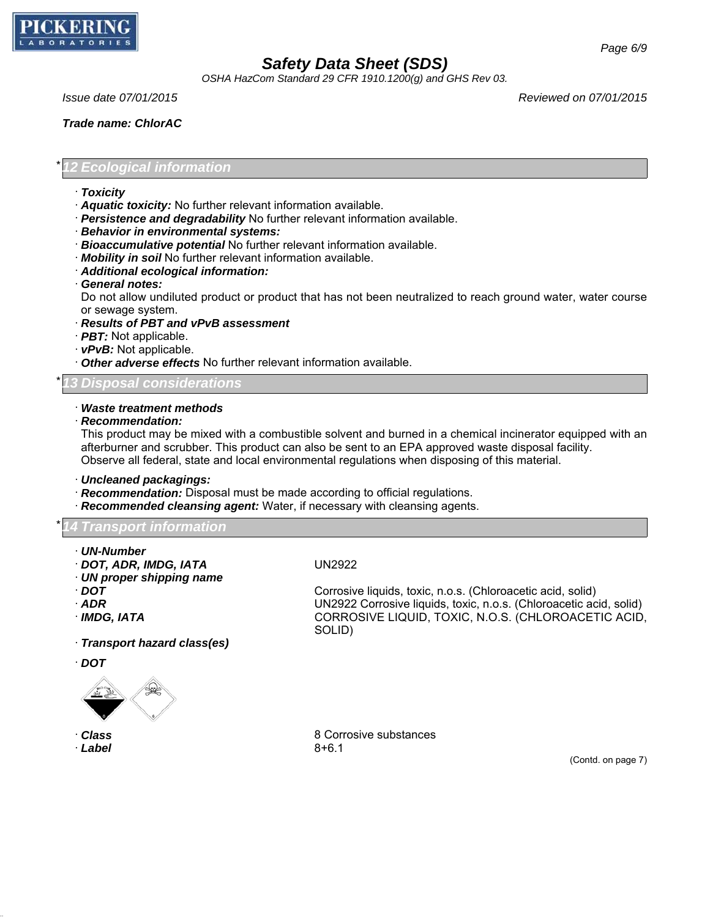

*OSHA HazCom Standard 29 CFR 1910.1200(g) and GHS Rev 03.*

*Trade name: ChlorAC*

*Page 6/9*

\* *12 Ecological information*

- · *Toxicity*
- · *Aquatic toxicity:* No further relevant information available.
- · *Persistence and degradability* No further relevant information available.
- · *Behavior in environmental systems:*
- · *Bioaccumulative potential* No further relevant information available.
- · *Mobility in soil* No further relevant information available.
- · *Additional ecological information:*
- · *General notes:*

Do not allow undiluted product or product that has not been neutralized to reach ground water, water course or sewage system.

- · *Results of PBT and vPvB assessment*
- · *PBT:* Not applicable.
- · *vPvB:* Not applicable.
- · *Other adverse effects* No further relevant information available.

### \* *13 Disposal considerations*

## · *Waste treatment methods*

· *Recommendation:*

This product may be mixed with a combustible solvent and burned in a chemical incinerator equipped with an afterburner and scrubber. This product can also be sent to an EPA approved waste disposal facility. Observe all federal, state and local environmental regulations when disposing of this material.

· *Uncleaned packagings:*

- · *Recommendation:* Disposal must be made according to official regulations.
- · *Recommended cleansing agent:* Water, if necessary with cleansing agents.

\* *14 Transport information*

- · *UN-Number*
- · *DOT, ADR, IMDG, IATA* UN2922
- · *UN proper shipping name*
- 
- 
- 

· *Transport hazard class(es)*

· *DOT*



· *Label* 8+6.1

· *DOT* Corrosive liquids, toxic, n.o.s. (Chloroacetic acid, solid) · *ADR* UN2922 Corrosive liquids, toxic, n.o.s. (Chloroacetic acid, solid) · *IMDG, IATA* CORROSIVE LIQUID, TOXIC, N.O.S. (CHLOROACETIC ACID, SOLID)

· *Class* 8 Corrosive substances

(Contd. on page 7)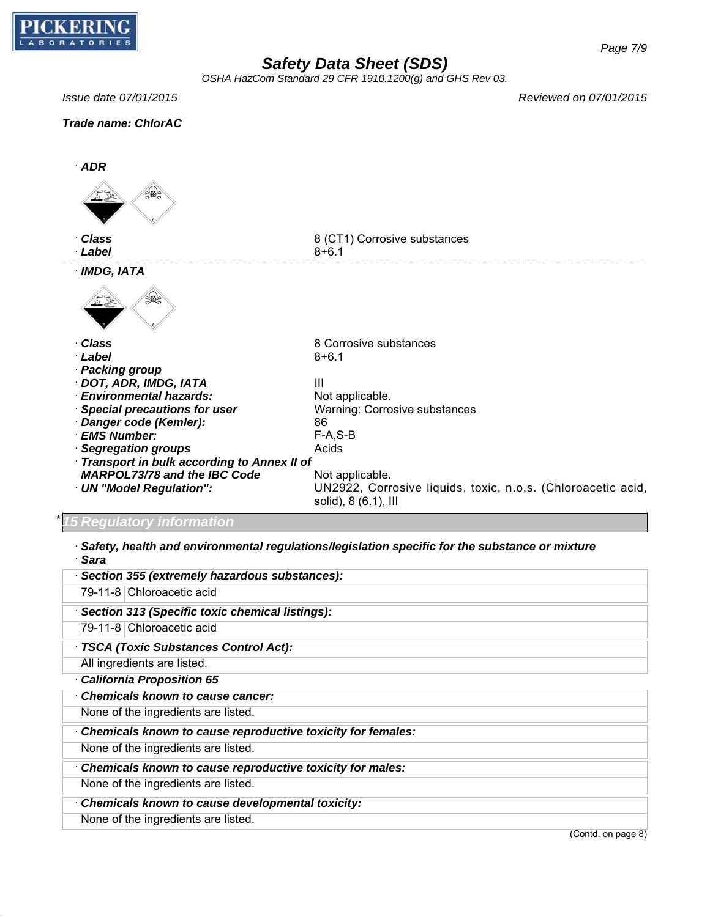

*OSHA HazCom Standard 29 CFR 1910.1200(g) and GHS Rev 03.*

*Page 7/9*

*Issue date 07/01/2015 Reviewed on 07/01/2015*





· *Safety, health and environmental regulations/legislation specific for the substance or mixture* · *Sara*

| · Section 355 (extremely hazardous substances):             |                    |
|-------------------------------------------------------------|--------------------|
| 79-11-8 Chloroacetic acid                                   |                    |
| · Section 313 (Specific toxic chemical listings):           |                    |
| 79-11-8 Chloroacetic acid                                   |                    |
| · TSCA (Toxic Substances Control Act):                      |                    |
| All ingredients are listed.                                 |                    |
| California Proposition 65                                   |                    |
| · Chemicals known to cause cancer:                          |                    |
| None of the ingredients are listed.                         |                    |
| Chemicals known to cause reproductive toxicity for females: |                    |
| None of the ingredients are listed.                         |                    |
| Chemicals known to cause reproductive toxicity for males:   |                    |
| None of the ingredients are listed.                         |                    |
| Chemicals known to cause developmental toxicity:            |                    |
| None of the ingredients are listed.                         |                    |
|                                                             | (Contd. on page 8) |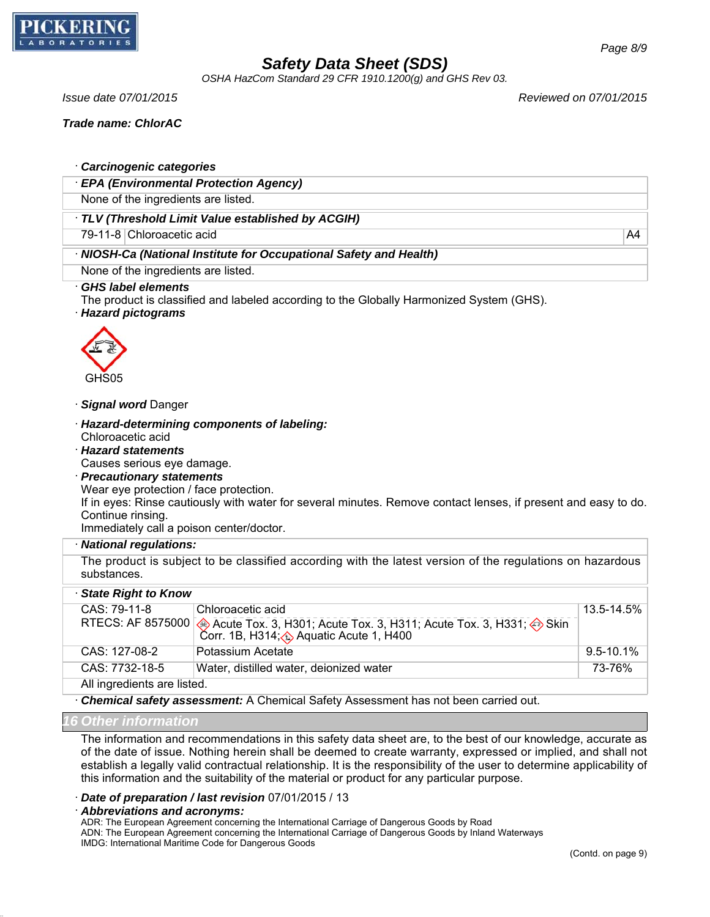

*OSHA HazCom Standard 29 CFR 1910.1200(g) and GHS Rev 03.*

*Issue date 07/01/2015 Reviewed on 07/01/2015*

*Trade name: ChlorAC*

### · *Carcinogenic categories*

· *EPA (Environmental Protection Agency)*

None of the ingredients are listed.

### · *TLV (Threshold Limit Value established by ACGIH)*

79-11-8 Chloroacetic acid A4

### · *NIOSH-Ca (National Institute for Occupational Safety and Health)*

None of the ingredients are listed.

#### · *GHS label elements*

The product is classified and labeled according to the Globally Harmonized System (GHS).

· *Hazard pictograms*



#### · *Signal word* Danger

- · *Hazard-determining components of labeling:* Chloroacetic acid
- · *Hazard statements*

Causes serious eye damage.

· *Precautionary statements*

Wear eye protection / face protection.

If in eyes: Rinse cautiously with water for several minutes. Remove contact lenses, if present and easy to do. Continue rinsing.

Immediately call a poison center/doctor.

#### · *National regulations:*

The product is subject to be classified according with the latest version of the regulations on hazardous substances.

| · State Right to Know       |                                                                                                                                                                    |            |  |
|-----------------------------|--------------------------------------------------------------------------------------------------------------------------------------------------------------------|------------|--|
| $CAS: 79-11-8$              | Chloroacetic acid                                                                                                                                                  | 13.5-14.5% |  |
|                             | RTECS: AF 8575000 $\bigotimes$ Acute Tox. 3, H301; Acute Tox. 3, H311; Acute Tox. 3, H331; $\bigotimes$ Skin<br>Corr. 1B, H314; $\bigotimes$ Aquatic Acute 1, H400 |            |  |
| $CAS: 127-08-2$             | Potassium Acetate                                                                                                                                                  | 9.5-10.1%  |  |
| CAS: 7732-18-5              | Water, distilled water, deionized water                                                                                                                            | 73-76%     |  |
| All ingredients are listed. |                                                                                                                                                                    |            |  |

· *Chemical safety assessment:* A Chemical Safety Assessment has not been carried out.

### *16 Other information*

The information and recommendations in this safety data sheet are, to the best of our knowledge, accurate as of the date of issue. Nothing herein shall be deemed to create warranty, expressed or implied, and shall not establish a legally valid contractual relationship. It is the responsibility of the user to determine applicability of this information and the suitability of the material or product for any particular purpose.

· *Date of preparation / last revision* 07/01/2015 / 13

· *Abbreviations and acronyms:*

ADR: The European Agreement concerning the International Carriage of Dangerous Goods by Road ADN: The European Agreement concerning the International Carriage of Dangerous Goods by Inland Waterways IMDG: International Maritime Code for Dangerous Goods